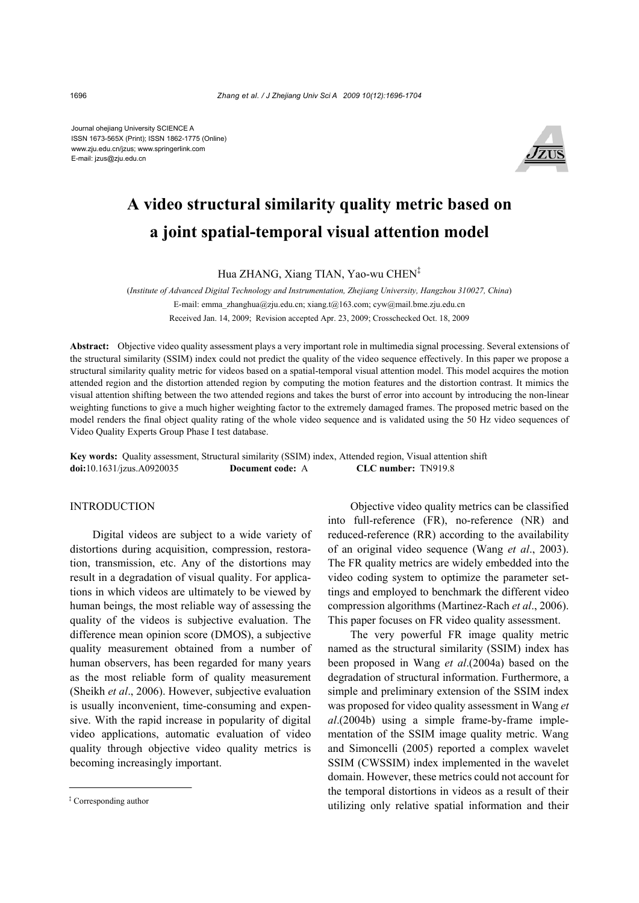Journal ohejiang University SCIENCE A ISSN 1673-565X (Print); ISSN 1862-1775 (Online) www.zju.edu.cn/jzus; www.springerlink.com E-mail: jzus@zju.edu.cn



# **A video structural similarity quality metric based on a joint spatial-temporal visual attention model**

Hua ZHANG, Xiang TIAN, Yao-wu CHEN‡

(*Institute of Advanced Digital Technology and Instrumentation, Zhejiang University, Hangzhou 310027, China*) E-mail: emma\_zhanghua@zju.edu.cn; xiang.t@163.com; cyw@mail.bme.zju.edu.cn Received Jan. 14, 2009; Revision accepted Apr. 23, 2009; Crosschecked Oct. 18, 2009

**Abstract:** Objective video quality assessment plays a very important role in multimedia signal processing. Several extensions of the structural similarity (SSIM) index could not predict the quality of the video sequence effectively. In this paper we propose a structural similarity quality metric for videos based on a spatial-temporal visual attention model. This model acquires the motion attended region and the distortion attended region by computing the motion features and the distortion contrast. It mimics the visual attention shifting between the two attended regions and takes the burst of error into account by introducing the non-linear weighting functions to give a much higher weighting factor to the extremely damaged frames. The proposed metric based on the model renders the final object quality rating of the whole video sequence and is validated using the 50 Hz video sequences of Video Quality Experts Group Phase I test database.

**Key words:** Quality assessment, Structural similarity (SSIM) index, Attended region, Visual attention shift **doi:**10.1631/jzus.A0920035 **Document code:** A **CLC number:** TN919.8

# **INTRODUCTION**

Digital videos are subject to a wide variety of distortions during acquisition, compression, restoration, transmission, etc. Any of the distortions may result in a degradation of visual quality. For applications in which videos are ultimately to be viewed by human beings, the most reliable way of assessing the quality of the videos is subjective evaluation. The difference mean opinion score (DMOS), a subjective quality measurement obtained from a number of human observers, has been regarded for many years as the most reliable form of quality measurement (Sheikh *et al*., 2006). However, subjective evaluation is usually inconvenient, time-consuming and expensive. With the rapid increase in popularity of digital video applications, automatic evaluation of video quality through objective video quality metrics is becoming increasingly important.

Objective video quality metrics can be classified into full-reference (FR), no-reference (NR) and reduced-reference (RR) according to the availability of an original video sequence (Wang *et al*., 2003). The FR quality metrics are widely embedded into the video coding system to optimize the parameter settings and employed to benchmark the different video compression algorithms (Martinez-Rach *et al*., 2006). This paper focuses on FR video quality assessment.

The very powerful FR image quality metric named as the structural similarity (SSIM) index has been proposed in Wang *et al*.(2004a) based on the degradation of structural information. Furthermore, a simple and preliminary extension of the SSIM index was proposed for video quality assessment in Wang *et al*.(2004b) using a simple frame-by-frame implementation of the SSIM image quality metric. Wang and Simoncelli (2005) reported a complex wavelet SSIM (CWSSIM) index implemented in the wavelet domain. However, these metrics could not account for the temporal distortions in videos as a result of their utilizing only relative spatial information and their

<sup>‡</sup> Corresponding author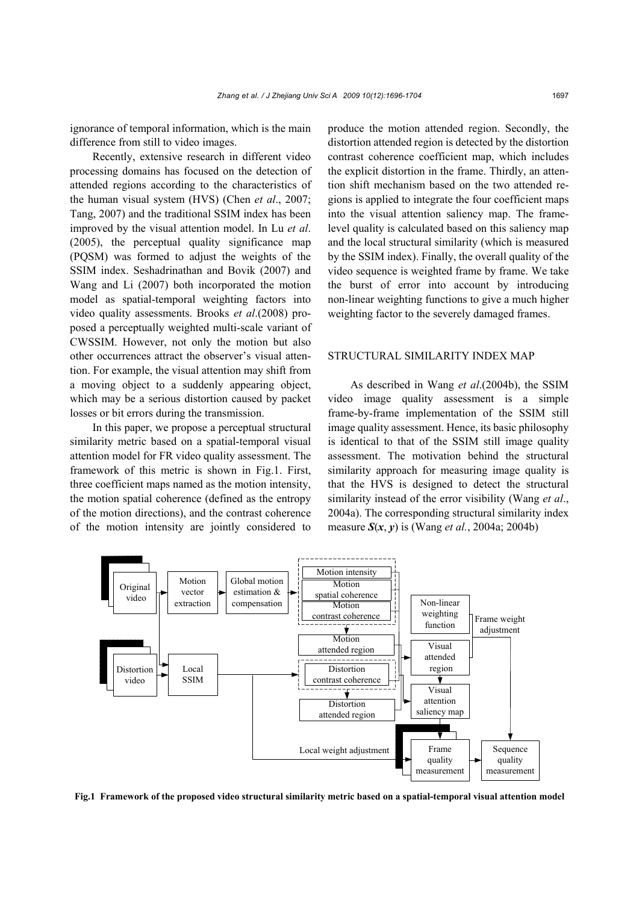ignorance of temporal information, which is the main difference from still to video images.

Recently, extensive research in different video processing domains has focused on the detection of attended regions according to the characteristics of the human visual system (HVS) (Chen *et al*., 2007; Tang, 2007) and the traditional SSIM index has been improved by the visual attention model. In Lu *et al*. (2005), the perceptual quality significance map (PQSM) was formed to adjust the weights of the SSIM index. Seshadrinathan and Bovik (2007) and Wang and Li (2007) both incorporated the motion model as spatial-temporal weighting factors into video quality assessments. Brooks *et al*.(2008) proposed a perceptually weighted multi-scale variant of CWSSIM. However, not only the motion but also other occurrences attract the observer's visual attention. For example, the visual attention may shift from a moving object to a suddenly appearing object, which may be a serious distortion caused by packet losses or bit errors during the transmission.

In this paper, we propose a perceptual structural similarity metric based on a spatial-temporal visual attention model for FR video quality assessment. The framework of this metric is shown in Fig.1. First, three coefficient maps named as the motion intensity, the motion spatial coherence (defined as the entropy of the motion directions), and the contrast coherence of the motion intensity are jointly considered to

produce the motion attended region. Secondly, the distortion attended region is detected by the distortion contrast coherence coefficient map, which includes the explicit distortion in the frame. Thirdly, an attention shift mechanism based on the two attended regions is applied to integrate the four coefficient maps into the visual attention saliency map. The framelevel quality is calculated based on this saliency map and the local structural similarity (which is measured by the SSIM index). Finally, the overall quality of the video sequence is weighted frame by frame. We take the burst of error into account by introducing non-linear weighting functions to give a much higher weighting factor to the severely damaged frames.

## STRUCTURAL SIMILARITY INDEX MAP

As described in Wang *et al*.(2004b), the SSIM video image quality assessment is a simple frame-by-frame implementation of the SSIM still image quality assessment. Hence, its basic philosophy is identical to that of the SSIM still image quality assessment. The motivation behind the structural similarity approach for measuring image quality is that the HVS is designed to detect the structural similarity instead of the error visibility (Wang *et al*., 2004a). The corresponding structural similarity index measure *S*(*x*, *y*) is (Wang *et al.*, 2004a; 2004b)



**Fig.1 Framework of the proposed video structural similarity metric based on a spatial-temporal visual attention model**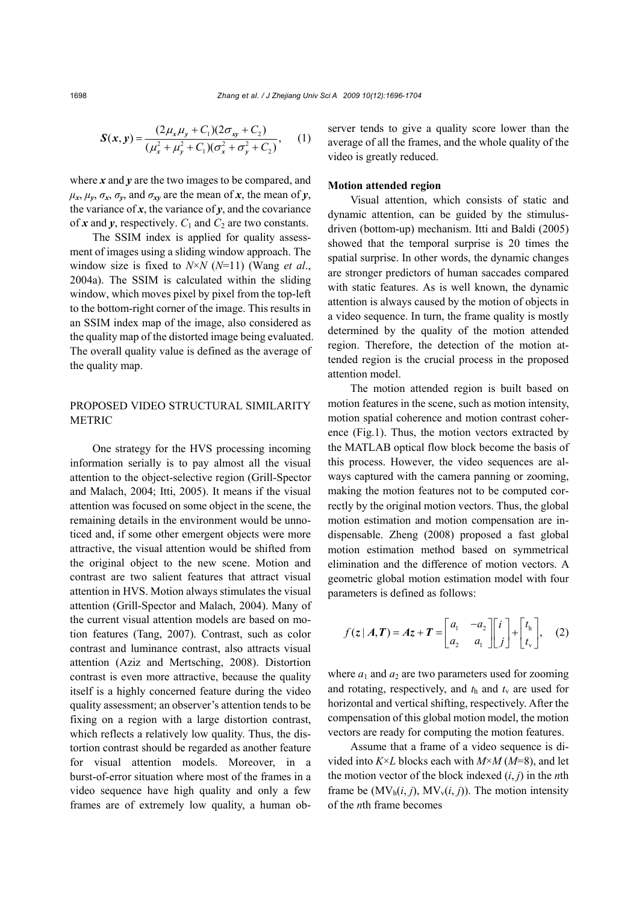$$
\mathbf{S}(\mathbf{x}, \mathbf{y}) = \frac{(2\mu_{x}\mu_{y} + C_{1})(2\sigma_{xy} + C_{2})}{(\mu_{x}^{2} + \mu_{y}^{2} + C_{1})(\sigma_{x}^{2} + \sigma_{y}^{2} + C_{2})},
$$
 (1)

where *x* and *y* are the two images to be compared, and  $\mu_x$ ,  $\mu_y$ ,  $\sigma_x$ ,  $\sigma_y$ , and  $\sigma_{xy}$  are the mean of *x*, the mean of *y*, the variance of  $x$ , the variance of  $y$ , and the covariance of  $x$  and  $y$ , respectively.  $C_1$  and  $C_2$  are two constants.

The SSIM index is applied for quality assessment of images using a sliding window approach. The window size is fixed to *N*×*N* (*N*=11) (Wang *et al*., 2004a). The SSIM is calculated within the sliding window, which moves pixel by pixel from the top-left to the bottom-right corner of the image. This results in an SSIM index map of the image, also considered as the quality map of the distorted image being evaluated. The overall quality value is defined as the average of the quality map.

# PROPOSED VIDEO STRUCTURAL SIMILARITY METRIC

One strategy for the HVS processing incoming information serially is to pay almost all the visual attention to the object-selective region (Grill-Spector and Malach, 2004; Itti, 2005). It means if the visual attention was focused on some object in the scene, the remaining details in the environment would be unnoticed and, if some other emergent objects were more attractive, the visual attention would be shifted from the original object to the new scene. Motion and contrast are two salient features that attract visual attention in HVS. Motion always stimulates the visual attention (Grill-Spector and Malach, 2004). Many of the current visual attention models are based on motion features (Tang, 2007). Contrast, such as color contrast and luminance contrast, also attracts visual attention (Aziz and Mertsching, 2008). Distortion contrast is even more attractive, because the quality itself is a highly concerned feature during the video quality assessment; an observer's attention tends to be fixing on a region with a large distortion contrast, which reflects a relatively low quality. Thus, the distortion contrast should be regarded as another feature for visual attention models. Moreover, in a burst-of-error situation where most of the frames in a video sequence have high quality and only a few frames are of extremely low quality, a human observer tends to give a quality score lower than the average of all the frames, and the whole quality of the video is greatly reduced.

#### **Motion attended region**

Visual attention, which consists of static and dynamic attention, can be guided by the stimulusdriven (bottom-up) mechanism. Itti and Baldi (2005) showed that the temporal surprise is 20 times the spatial surprise. In other words, the dynamic changes are stronger predictors of human saccades compared with static features. As is well known, the dynamic attention is always caused by the motion of objects in a video sequence. In turn, the frame quality is mostly determined by the quality of the motion attended region. Therefore, the detection of the motion attended region is the crucial process in the proposed attention model.

The motion attended region is built based on motion features in the scene, such as motion intensity, motion spatial coherence and motion contrast coherence (Fig.1). Thus, the motion vectors extracted by the MATLAB optical flow block become the basis of this process. However, the video sequences are always captured with the camera panning or zooming, making the motion features not to be computed correctly by the original motion vectors. Thus, the global motion estimation and motion compensation are indispensable. Zheng (2008) proposed a fast global motion estimation method based on symmetrical elimination and the difference of motion vectors. A geometric global motion estimation model with four parameters is defined as follows:

$$
f(z | A, T) = Az + T = \begin{bmatrix} a_1 & -a_2 \\ a_2 & a_1 \end{bmatrix} \begin{bmatrix} i \\ j \end{bmatrix} + \begin{bmatrix} t_h \\ t_v \end{bmatrix}, \quad (2)
$$

where  $a_1$  and  $a_2$  are two parameters used for zooming and rotating, respectively, and  $t<sub>h</sub>$  and  $t<sub>v</sub>$  are used for horizontal and vertical shifting, respectively. After the compensation of this global motion model, the motion vectors are ready for computing the motion features.

Assume that a frame of a video sequence is divided into *K*×*L* blocks each with *M*×*M* (*M*=8), and let the motion vector of the block indexed (*i*, *j*) in the *n*th frame be  $(MV_h(i, j), MV_v(i, j))$ . The motion intensity of the *n*th frame becomes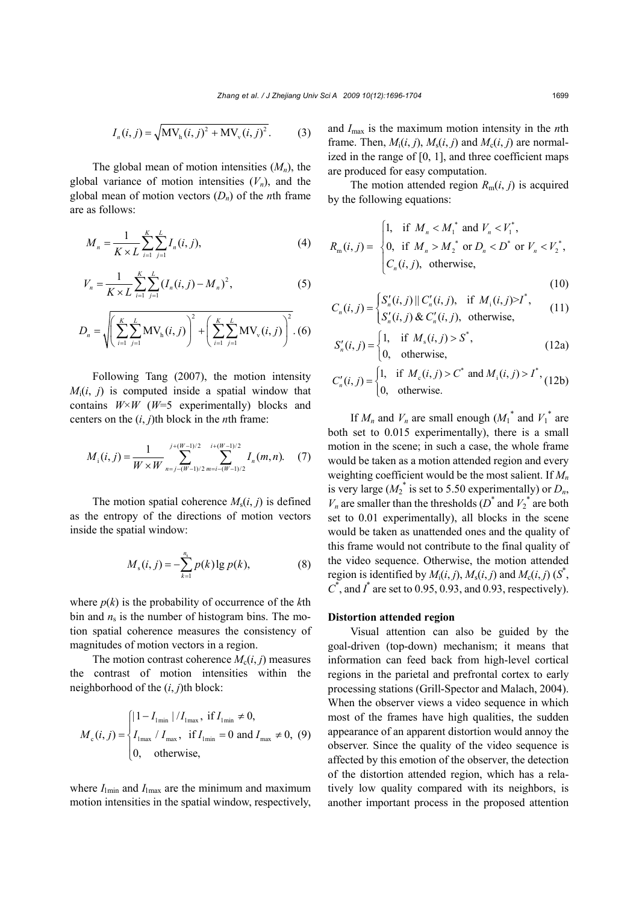$$
I_n(i, j) = \sqrt{MV_h(i, j)^2 + MV_v(i, j)^2}.
$$
 (3)

The global mean of motion intensities  $(M_n)$ , the global variance of motion intensities  $(V_n)$ , and the global mean of motion vectors (*Dn*) of the *n*th frame are as follows:

$$
M_n = \frac{1}{K \times L} \sum_{i=1}^{K} \sum_{j=1}^{L} I_n(i, j),
$$
 (4)

$$
V_n = \frac{1}{K \times L} \sum_{i=1}^{K} \sum_{j=1}^{L} (I_n(i, j) - M_n)^2,
$$
 (5)

$$
D_n = \sqrt{\left(\sum_{i=1}^K \sum_{j=1}^L MV_h(i,j)\right)^2 + \left(\sum_{i=1}^K \sum_{j=1}^L MV_v(i,j)\right)^2}.
$$
 (6)

Following Tang (2007), the motion intensity  $M_i(i, j)$  is computed inside a spatial window that contains  $W \times W$  ( $W=5$  experimentally) blocks and centers on the  $(i, j)$ th block in the *n*th frame:

$$
M_{i}(i, j) = \frac{1}{W \times W} \sum_{n=j-(W-1)/2}^{j+(W-1)/2} \sum_{m=i-(W-1)/2}^{i+(W-1)/2} I_{n}(m, n). \quad (7)
$$

The motion spatial coherence  $M_s(i, j)$  is defined as the entropy of the directions of motion vectors inside the spatial window:

$$
M_{s}(i, j) = -\sum_{k=1}^{n_{s}} p(k) \lg p(k), \tag{8}
$$

where  $p(k)$  is the probability of occurrence of the  $k$ th bin and  $n_s$  is the number of histogram bins. The motion spatial coherence measures the consistency of magnitudes of motion vectors in a region.

The motion contrast coherence  $M_c(i, j)$  measures the contrast of motion intensities within the neighborhood of the (*i*, *j*)th block:

$$
M_c(i, j) = \begin{cases} |1 - I_{1\text{min}}| / I_{1\text{max}}, \text{ if } I_{1\text{min}} \neq 0, \\ I_{1\text{max}} / I_{\text{max}}, \text{ if } I_{1\text{min}} = 0 \text{ and } I_{\text{max}} \neq 0, (9) \\ 0, \text{ otherwise,} \end{cases}
$$

where  $I_{lmin}$  and  $I_{lmax}$  are the minimum and maximum motion intensities in the spatial window, respectively,

and *I*max is the maximum motion intensity in the *n*th frame. Then,  $M_i(i, j)$ ,  $M_s(i, j)$  and  $M_c(i, j)$  are normalized in the range of  $[0, 1]$ , and three coefficient maps are produced for easy computation.

The motion attended region  $R_m(i, j)$  is acquired by the following equations:

$$
R_{\rm m}(i,j) = \begin{cases} 1, & \text{if } M_n < M_1^* \text{ and } V_n < V_1^*, \\ 0, & \text{if } M_n > M_2^* \text{ or } D_n < D^* \text{ or } V_n < V_2^*, \\ C_n(i,j), & \text{otherwise,} \end{cases}
$$

$$
^{*}\qquad \text{(10)}
$$

$$
C_n(i,j) = \begin{cases} S'_n(i,j) || C'_n(i,j), & \text{if } M_i(i,j) > I^*, \\ S'_n(i,j) & \text{otherwise,} \end{cases}
$$
 (11)

$$
S'_n(i,j) = \begin{cases} 1, & \text{if } M_s(i,j) > S^*, \\ 0, & \text{otherwise}, \end{cases}
$$
(12a)

$$
C'_{n}(i, j) = \begin{cases} 1, & \text{if } M_{c}(i, j) > C^{*} \text{ and } M_{i}(i, j) > I^{*}, \\ 0, & \text{otherwise.} \end{cases}
$$
 (12b)

If  $M_n$  and  $V_n$  are small enough  $(M_1^*$  and  $V_1^*$  are both set to 0.015 experimentally), there is a small motion in the scene; in such a case, the whole frame would be taken as a motion attended region and every weighting coefficient would be the most salient. If *Mn* is very large ( $M_2^*$  is set to 5.50 experimentally) or  $D_n$ ,  $V_n$  are smaller than the thresholds  $(D^*$  and  $V_2^*$  are both set to 0.01 experimentally), all blocks in the scene would be taken as unattended ones and the quality of this frame would not contribute to the final quality of the video sequence. Otherwise, the motion attended region is identified by  $M_i(i, j)$ ,  $M_s(i, j)$  and  $M_c(i, j)$  ( $S^*$ ,  $C^*$ , and  $I^*$  are set to 0.95, 0.93, and 0.93, respectively).

#### **Distortion attended region**

Visual attention can also be guided by the goal-driven (top-down) mechanism; it means that information can feed back from high-level cortical regions in the parietal and prefrontal cortex to early processing stations (Grill-Spector and Malach, 2004). When the observer views a video sequence in which most of the frames have high qualities, the sudden appearance of an apparent distortion would annoy the observer. Since the quality of the video sequence is affected by this emotion of the observer, the detection of the distortion attended region, which has a relatively low quality compared with its neighbors, is another important process in the proposed attention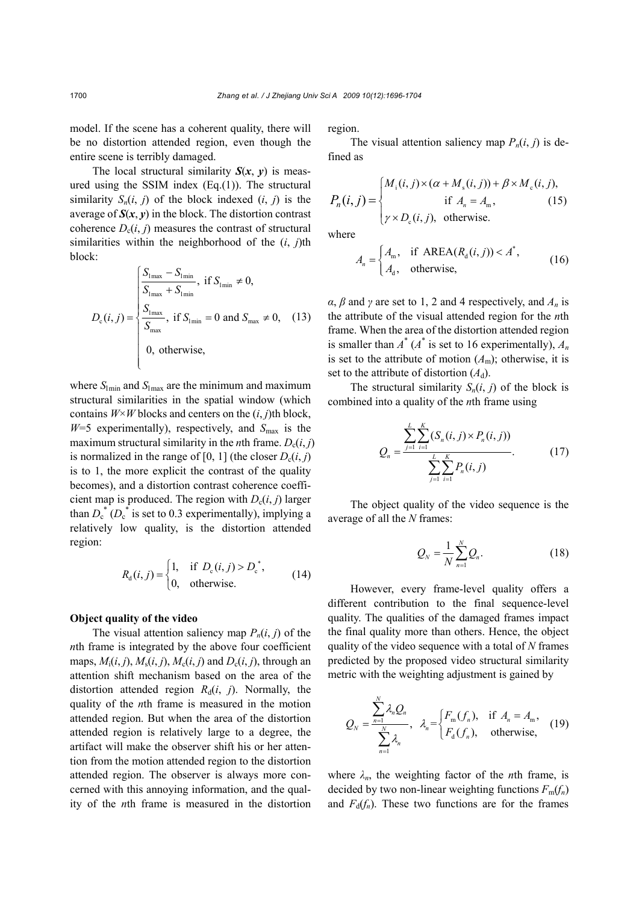model. If the scene has a coherent quality, there will be no distortion attended region, even though the entire scene is terribly damaged.

The local structural similarity  $S(x, y)$  is measured using the SSIM index  $(Eq.(1))$ . The structural similarity  $S_n(i, j)$  of the block indexed  $(i, j)$  is the average of  $S(x, y)$  in the block. The distortion contrast coherence  $D_c(i, j)$  measures the contrast of structural similarities within the neighborhood of the (*i*, *j*)th block:

$$
D_{\rm c}(i,j) = \begin{cases} \frac{S_{\rm 1max} - S_{\rm 1min}}{S_{\rm 1max} + S_{\rm 1min}}, & \text{if } S_{\rm 1min} \neq 0, \\ \frac{S_{\rm 1max}}{S_{\rm max}}, & \text{if } S_{\rm 1min} = 0 \text{ and } S_{\rm max} \neq 0, \\ 0, & \text{otherwise,} \end{cases}
$$
(13)

where  $S_{\text{I}}$  and  $S_{\text{I}}$  are the minimum and maximum structural similarities in the spatial window (which contains  $W \times W$  blocks and centers on the  $(i, j)$ th block,  $W=5$  experimentally), respectively, and  $S_{\text{max}}$  is the maximum structural similarity in the *n*th frame.  $D_c(i, j)$ is normalized in the range of [0, 1] (the closer  $D_c(i, j)$ is to 1, the more explicit the contrast of the quality becomes), and a distortion contrast coherence coefficient map is produced. The region with  $D_c(i, j)$  larger than  $D_c^*(D_c^*$  is set to 0.3 experimentally), implying a relatively low quality, is the distortion attended region:

$$
R_{d}(i, j) = \begin{cases} 1, & \text{if } D_{c}(i, j) > D_{c}^{*}, \\ 0, & \text{otherwise.} \end{cases}
$$
(14)

#### **Object quality of the video**

The visual attention saliency map  $P_n(i, j)$  of the *n*th frame is integrated by the above four coefficient maps,  $M_i(i, j)$ ,  $M_s(i, j)$ ,  $M_c(i, j)$  and  $D_c(i, j)$ , through an attention shift mechanism based on the area of the distortion attended region  $R_d(i, j)$ . Normally, the quality of the *n*th frame is measured in the motion attended region. But when the area of the distortion attended region is relatively large to a degree, the artifact will make the observer shift his or her attention from the motion attended region to the distortion attended region. The observer is always more concerned with this annoying information, and the quality of the *n*th frame is measured in the distortion region.

The visual attention saliency map  $P_n(i, j)$  is defined as

$$
P_n(i,j) = \begin{cases} M_i(i,j) \times (\alpha + M_s(i,j)) + \beta \times M_c(i,j), \\ \text{if } A_n = A_m, \\ \gamma \times D_c(i,j), \text{ otherwise.} \end{cases}
$$
(15)

where

$$
A_n = \begin{cases} A_m, & \text{if AREA}(R_d(i,j)) < A^*, \\ A_d, & \text{otherwise,} \end{cases}
$$
 (16)

 $\alpha$ ,  $\beta$  and  $\gamma$  are set to 1, 2 and 4 respectively, and  $A_n$  is the attribute of the visual attended region for the *n*th frame. When the area of the distortion attended region is smaller than  $A^*$  ( $A^*$  is set to 16 experimentally),  $A_n$ is set to the attribute of motion  $(A<sub>m</sub>)$ ; otherwise, it is set to the attribute of distortion  $(A_d)$ .

The structural similarity  $S_n(i, j)$  of the block is combined into a quality of the *n*th frame using

$$
Q_n = \frac{\sum_{j=1}^{L} \sum_{i=1}^{K} (S_n(i, j) \times P_n(i, j))}{\sum_{j=1}^{L} \sum_{i=1}^{K} P_n(i, j)}.
$$
 (17)

The object quality of the video sequence is the average of all the *N* frames:

$$
Q_N = \frac{1}{N} \sum_{n=1}^{N} Q_n.
$$
 (18)

However, every frame-level quality offers a different contribution to the final sequence-level quality. The qualities of the damaged frames impact the final quality more than others. Hence, the object quality of the video sequence with a total of *N* frames predicted by the proposed video structural similarity metric with the weighting adjustment is gained by

$$
Q_N = \frac{\sum_{n=1}^N \lambda_n Q_n}{\sum_{n=1}^N \lambda_n}, \quad \lambda_n = \begin{cases} F_m(f_n), & \text{if } A_n = A_m, \\ F_d(f_n), & \text{otherwise,} \end{cases}
$$
 (19)

where  $\lambda_n$ , the weighting factor of the *n*th frame, is decided by two non-linear weighting functions  $F_m(f_n)$ and  $F_d(f_n)$ . These two functions are for the frames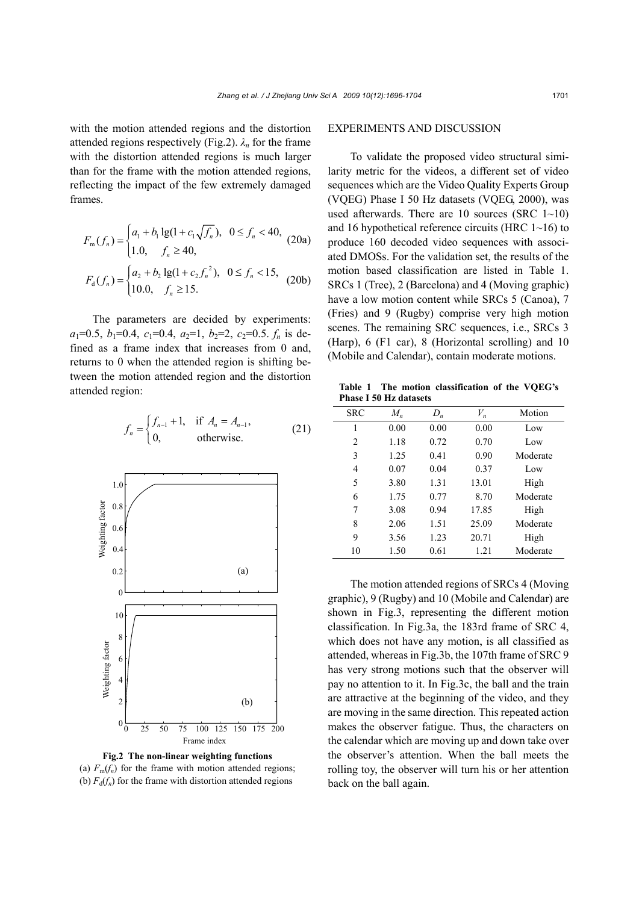with the motion attended regions and the distortion attended regions respectively (Fig.2). *λn* for the frame with the distortion attended regions is much larger than for the frame with the motion attended regions, reflecting the impact of the few extremely damaged frames.

$$
F_{\mathfrak{m}}(f_n) = \begin{cases} a_1 + b_1 \lg(1 + c_1 \sqrt{f_n}), & 0 \le f_n < 40, \\ 1.0, & f_n \ge 40, \end{cases} \tag{20a}
$$
\n
$$
F_{\mathfrak{d}}(f_n) = \begin{cases} a_2 + b_2 \lg(1 + c_2 f_n^2), & 0 \le f_n < 15, \\ 10.0, & f_n \ge 15. \end{cases} \tag{20b}
$$

The parameters are decided by experiments:  $a_1=0.5$ ,  $b_1=0.4$ ,  $c_1=0.4$ ,  $a_2=1$ ,  $b_2=2$ ,  $c_2=0.5$ .  $f_n$  is defined as a frame index that increases from 0 and, returns to 0 when the attended region is shifting between the motion attended region and the distortion attended region:

$$
f_n = \begin{cases} f_{n-1} + 1, & \text{if } A_n = A_{n-1}, \\ 0, & \text{otherwise.} \end{cases}
$$
 (21)



**Fig.2 The non-linear weighting functions**  (a)  $F_m(f_n)$  for the frame with motion attended regions; (b)  $F_d(f_n)$  for the frame with distortion attended regions

# EXPERIMENTS AND DISCUSSION

To validate the proposed video structural similarity metric for the videos, a different set of video sequences which are the Video Quality Experts Group (VQEG) Phase I 50 Hz datasets (VQEG, 2000), was used afterwards. There are 10 sources (SRC  $1~10$ ) and 16 hypothetical reference circuits (HRC 1~16) to produce 160 decoded video sequences with associated DMOSs. For the validation set, the results of the motion based classification are listed in Table 1. SRCs 1 (Tree), 2 (Barcelona) and 4 (Moving graphic) have a low motion content while SRCs 5 (Canoa), 7 (Fries) and 9 (Rugby) comprise very high motion scenes. The remaining SRC sequences, i.e., SRCs 3 (Harp), 6 (F1 car), 8 (Horizontal scrolling) and 10 (Mobile and Calendar), contain moderate motions.

**Table 1 The motion classification of the VQEG's Phase I 50 Hz datasets**

| <b>SRC</b>     | $M_n$ | $D_n$ | $V_n$ | Motion   |
|----------------|-------|-------|-------|----------|
| 1              | 0.00  | 0.00  | 0.00  | Low      |
| $\overline{c}$ | 1.18  | 0.72  | 0.70  | Low      |
| 3              | 1.25  | 0.41  | 0.90  | Moderate |
| 4              | 0.07  | 0.04  | 0.37  | Low      |
| 5              | 3.80  | 1.31  | 13.01 | High     |
| 6              | 1.75  | 0.77  | 8.70  | Moderate |
| 7              | 3.08  | 0.94  | 17.85 | High     |
| 8              | 2.06  | 1.51  | 25.09 | Moderate |
| 9              | 3.56  | 1.23  | 20.71 | High     |
| 10             | 1.50  | 0.61  | 1 21  | Moderate |

The motion attended regions of SRCs 4 (Moving graphic), 9 (Rugby) and 10 (Mobile and Calendar) are shown in Fig.3, representing the different motion classification. In Fig.3a, the 183rd frame of SRC 4, which does not have any motion, is all classified as attended, whereas in Fig.3b, the 107th frame of SRC 9 has very strong motions such that the observer will pay no attention to it. In Fig.3c, the ball and the train are attractive at the beginning of the video, and they are moving in the same direction. This repeated action makes the observer fatigue. Thus, the characters on the calendar which are moving up and down take over the observer's attention. When the ball meets the rolling toy, the observer will turn his or her attention back on the ball again.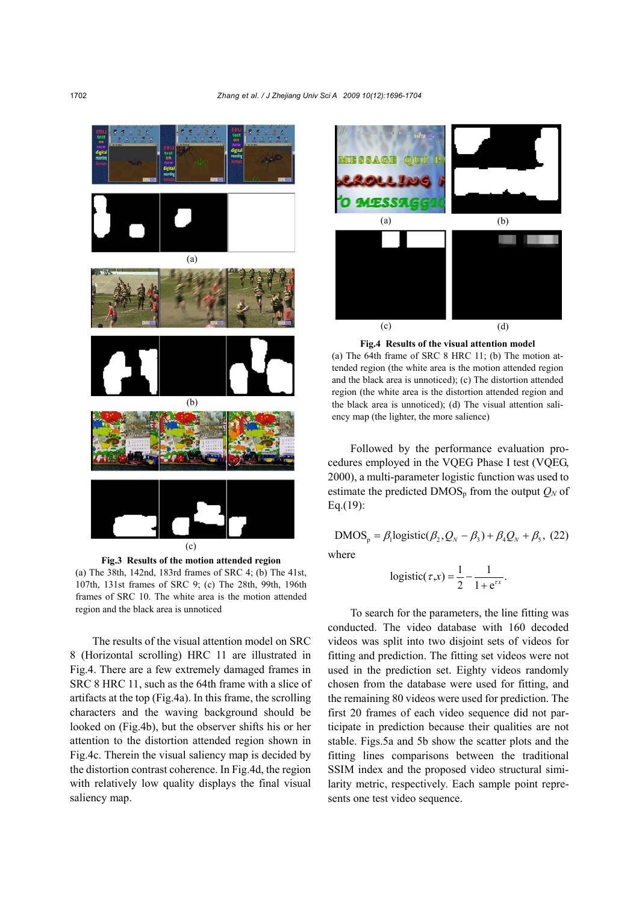

**Fig.3 Results of the motion attended region**  (a) The 38th, 142nd, 183rd frames of SRC 4; (b) The 41st,

107th, 131st frames of SRC 9; (c) The 28th, 99th, 196th frames of SRC 10. The white area is the motion attended region and the black area is unnoticed

The results of the visual attention model on SRC 8 (Horizontal scrolling) HRC 11 are illustrated in Fig.4. There are a few extremely damaged frames in SRC 8 HRC 11, such as the 64th frame with a slice of artifacts at the top (Fig.4a). In this frame, the scrolling characters and the waving background should be looked on (Fig.4b), but the observer shifts his or her attention to the distortion attended region shown in Fig.4c. Therein the visual saliency map is decided by the distortion contrast coherence. In Fig.4d, the region with relatively low quality displays the final visual saliency map.



**Fig.4 Results of the visual attention model** 

(a) The 64th frame of SRC 8 HRC 11; (b) The motion attended region (the white area is the motion attended region and the black area is unnoticed); (c) The distortion attended region (the white area is the distortion attended region and the black area is unnoticed); (d) The visual attention saliency map (the lighter, the more salience)

Followed by the performance evaluation procedures employed in the VQEG Phase I test (VQEG, 2000), a multi-parameter logistic function was used to estimate the predicted  $\text{DMOS}_p$  from the output  $Q_N$  of Eq.(19):

$$
DMOS_p = \beta_1 logistic(\beta_2, Q_N - \beta_3) + \beta_4 Q_N + \beta_5, (22)
$$

where

$$
logistic(\tau, x) = \frac{1}{2} - \frac{1}{1 + e^{\tau x}}.
$$

To search for the parameters, the line fitting was conducted. The video database with 160 decoded videos was split into two disjoint sets of videos for fitting and prediction. The fitting set videos were not used in the prediction set. Eighty videos randomly chosen from the database were used for fitting, and the remaining 80 videos were used for prediction. The first 20 frames of each video sequence did not participate in prediction because their qualities are not stable. Figs.5a and 5b show the scatter plots and the fitting lines comparisons between the traditional SSIM index and the proposed video structural similarity metric, respectively. Each sample point represents one test video sequence.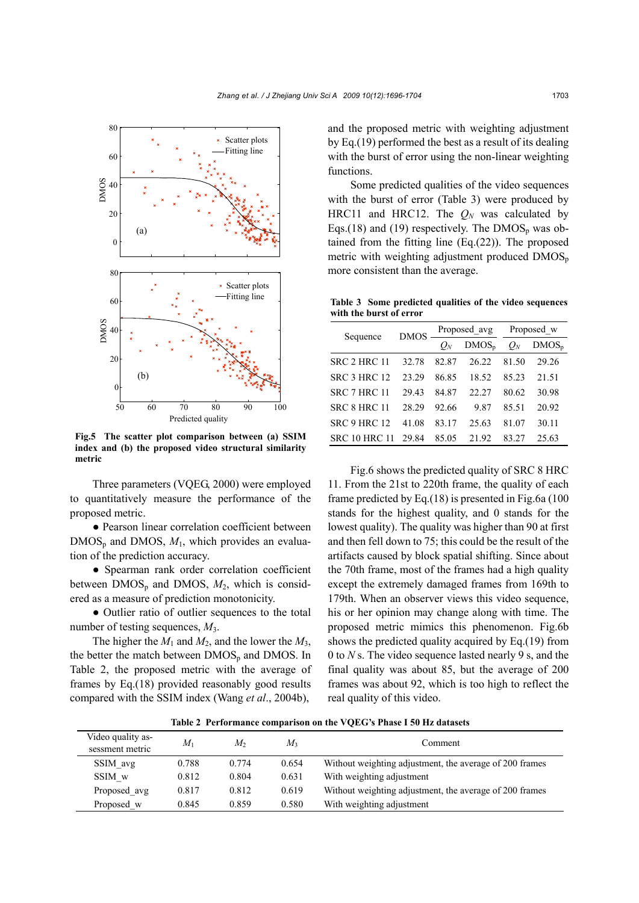

**Fig.5 The scatter plot comparison between (a) SSIM index and (b) the proposed video structural similarity metric**

Three parameters (VQEG, 2000) were employed to quantitatively measure the performance of the proposed metric.

● Pearson linear correlation coefficient between  $DMOS_p$  and DMOS,  $M_1$ , which provides an evaluation of the prediction accuracy.

● Spearman rank order correlation coefficient between  $DMOS_p$  and DMOS,  $M_2$ , which is considered as a measure of prediction monotonicity.

• Outlier ratio of outlier sequences to the total number of testing sequences, *M*3.

The higher the  $M_1$  and  $M_2$ , and the lower the  $M_3$ , the better the match between  $DMOS_p$  and DMOS. In Table 2, the proposed metric with the average of frames by Eq.(18) provided reasonably good results compared with the SSIM index (Wang *et al*., 2004b),

and the proposed metric with weighting adjustment by Eq.(19) performed the best as a result of its dealing with the burst of error using the non-linear weighting functions.

Some predicted qualities of the video sequences with the burst of error (Table 3) were produced by HRC11 and HRC12. The  $Q_N$  was calculated by Eqs.(18) and (19) respectively. The  $DMOS<sub>p</sub>$  was obtained from the fitting line (Eq.(22)). The proposed metric with weighting adjustment produced  $\text{DMOS}_p$ more consistent than the average.

**Table 3 Some predicted qualities of the video sequences with the burst of error** 

| Sequence             | <b>DMOS</b> | Proposed_avg |          | Proposed w |          |
|----------------------|-------------|--------------|----------|------------|----------|
|                      |             | $Q_N$        | $DMOS_p$ | $Q_N$      | $DMOS_p$ |
| SRC 2 HRC 11         | 32.78       | 82.87        | 26.22    | 81.50      | 29.26    |
| <b>SRC 3 HRC 12</b>  | 23.29       | 86.85        | 18.52    | 85.23      | 21.51    |
| SRC 7 HRC 11         | 29.43       | 84.87        | 22.27    | 80.62      | 30.98    |
| SRC 8 HRC 11         | 28.29       | 92.66        | 9.87     | 85.51      | 20.92    |
| <b>SRC 9 HRC 12</b>  | 41.08       | 83.17        | 25.63    | 81.07      | 30.11    |
| <b>SRC 10 HRC 11</b> | 29.84       | 85.05        | 21.92    | 83.27      | 25.63    |

Fig.6 shows the predicted quality of SRC 8 HRC 11. From the 21st to 220th frame, the quality of each frame predicted by Eq.(18) is presented in Fig.6a (100 stands for the highest quality, and 0 stands for the lowest quality). The quality was higher than 90 at first and then fell down to 75; this could be the result of the artifacts caused by block spatial shifting. Since about the 70th frame, most of the frames had a high quality except the extremely damaged frames from 169th to 179th. When an observer views this video sequence, his or her opinion may change along with time. The proposed metric mimics this phenomenon. Fig.6b shows the predicted quality acquired by Eq.(19) from 0 to *N* s. The video sequence lasted nearly 9 s, and the final quality was about 85, but the average of 200 frames was about 92, which is too high to reflect the real quality of this video.

**Table 2 Performance comparison on the VQEG's Phase I 50 Hz datasets** 

| Video quality as-<br>sessment metric | $M_1$ | M,    | $M_{3}$ | Comment                                                 |
|--------------------------------------|-------|-------|---------|---------------------------------------------------------|
| SSIM avg                             | 0.788 | 0.774 | 0.654   | Without weighting adjustment, the average of 200 frames |
| SSIM w                               | 0.812 | 0.804 | 0.631   | With weighting adjustment                               |
| Proposed avg                         | 0.817 | 0.812 | 0.619   | Without weighting adjustment, the average of 200 frames |
| Proposed w                           | 0.845 | 0.859 | 0.580   | With weighting adjustment                               |